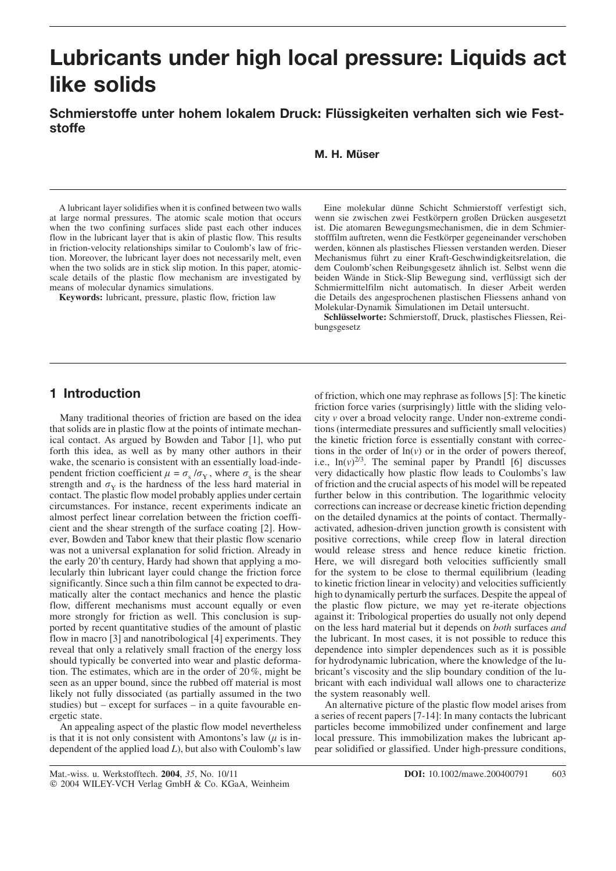# Lubricants under high local pressure: Liquids act like solids

Schmierstoffe unter hohem lokalem Druck: Flüssigkeiten verhalten sich wie Feststoffe

M. H. Müser

A lubricant layer solidifies when it is confined between two walls at large normal pressures. The atomic scale motion that occurs when the two confining surfaces slide past each other induces flow in the lubricant layer that is akin of plastic flow. This results in friction-velocity relationships similar to Coulomb's law of friction. Moreover, the lubricant layer does not necessarily melt, even when the two solids are in stick slip motion. In this paper, atomicscale details of the plastic flow mechanism are investigated by means of molecular dynamics simulations.

Keywords: lubricant, pressure, plastic flow, friction law

Eine molekular dünne Schicht Schmierstoff verfestigt sich, wenn sie zwischen zwei Festkörpern großen Drücken ausgesetzt ist. Die atomaren Bewegungsmechanismen, die in dem Schmierstofffilm auftreten, wenn die Festkörper gegeneinander verschoben werden, können als plastisches Fliessen verstanden werden. Dieser Mechanismus führt zu einer Kraft-Geschwindigkeitsrelation, die dem Coulomb'schen Reibungsgesetz ähnlich ist. Selbst wenn die beiden Wände in Stick-Slip Bewegung sind, verflüssigt sich der Schmiermittelfilm nicht automatisch. In dieser Arbeit werden die Details des angesprochenen plastischen Fliessens anhand von Molekular-Dynamik Simulationen im Detail untersucht.

Schlüsselworte: Schmierstoff, Druck, plastisches Fliessen, Reibungsgesetz

#### 1 Introduction

Many traditional theories of friction are based on the idea that solids are in plastic flow at the points of intimate mechanical contact. As argued by Bowden and Tabor [1], who put forth this idea, as well as by many other authors in their wake, the scenario is consistent with an essentially load-independent friction coefficient  $\mu = \sigma_s / \sigma_Y$ , where  $\sigma_s$  is the shear strength and  $\sigma_{\rm v}$  is the hardness of the less hard material in contact. The plastic flow model probably applies under certain circumstances. For instance, recent experiments indicate an almost perfect linear correlation between the friction coefficient and the shear strength of the surface coating [2]. However, Bowden and Tabor knew that their plastic flow scenario was not a universal explanation for solid friction. Already in the early 20'th century, Hardy had shown that applying a molecularly thin lubricant layer could change the friction force significantly. Since such a thin film cannot be expected to dramatically alter the contact mechanics and hence the plastic flow, different mechanisms must account equally or even more strongly for friction as well. This conclusion is supported by recent quantitative studies of the amount of plastic flow in macro [3] and nanotribological [4] experiments. They reveal that only a relatively small fraction of the energy loss should typically be converted into wear and plastic deformation. The estimates, which are in the order of 20%, might be seen as an upper bound, since the rubbed off material is most likely not fully dissociated (as partially assumed in the two studies) but – except for surfaces – in a quite favourable energetic state.

An appealing aspect of the plastic flow model nevertheless is that it is not only consistent with Amontons's law  $(\mu$  is independent of the applied load  $L$ ), but also with Coulomb's law of friction, which one may rephrase as follows [5]: The kinetic friction force varies (surprisingly) little with the sliding velocity v over a broad velocity range. Under non-extreme conditions (intermediate pressures and sufficiently small velocities) the kinetic friction force is essentially constant with corrections in the order of  $ln(v)$  or in the order of powers thereof, i.e.,  $ln(v)^{2/3}$ . The seminal paper by Prandtl [6] discusses very didactically how plastic flow leads to Coulombs's law of friction and the crucial aspects of his model will be repeated further below in this contribution. The logarithmic velocity corrections can increase or decrease kinetic friction depending on the detailed dynamics at the points of contact. Thermallyactivated, adhesion-driven junction growth is consistent with positive corrections, while creep flow in lateral direction would release stress and hence reduce kinetic friction. Here, we will disregard both velocities sufficiently small for the system to be close to thermal equilibrium (leading to kinetic friction linear in velocity) and velocities sufficiently high to dynamically perturb the surfaces. Despite the appeal of the plastic flow picture, we may yet re-iterate objections against it: Tribological properties do usually not only depend on the less hard material but it depends on both surfaces and the lubricant. In most cases, it is not possible to reduce this dependence into simpler dependences such as it is possible for hydrodynamic lubrication, where the knowledge of the lubricant's viscosity and the slip boundary condition of the lubricant with each individual wall allows one to characterize the system reasonably well.

An alternative picture of the plastic flow model arises from a series of recent papers [7-14]: In many contacts the lubricant particles become immobilized under confinement and large local pressure. This immobilization makes the lubricant appear solidified or glassified. Under high-pressure conditions,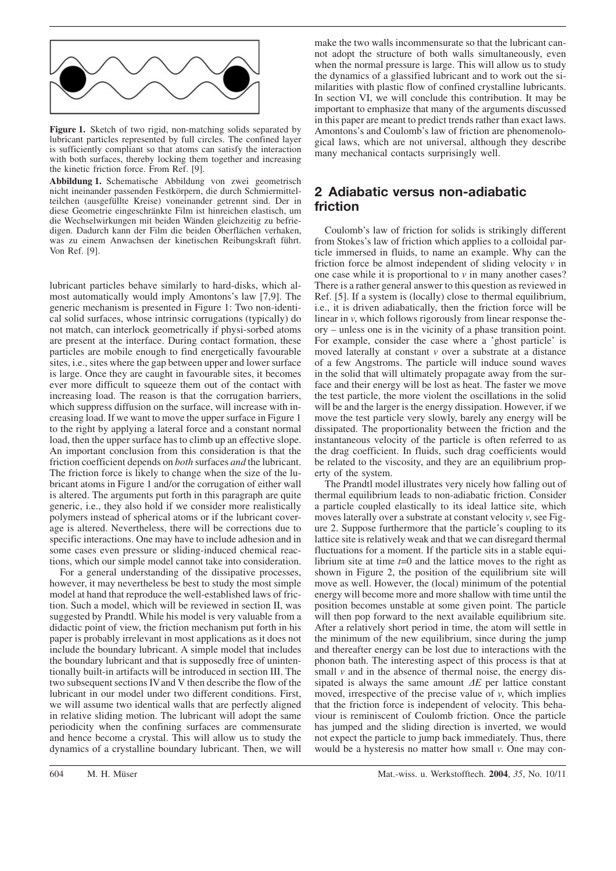

Figure 1. Sketch of two rigid, non-matching solids separated by lubricant particles represented by full circles. The confined layer is sufficiently compliant so that atoms can satisfy the interaction with both surfaces, thereby locking them together and increasing the kinetic friction force. From Ref. [9].

Abbildung 1. Schematische Abbildung von zwei geometrisch nicht ineinander passenden Festkörpern, die durch Schmiermittelteilchen (ausgefüllte Kreise) voneinander getrennt sind. Der in diese Geometrie eingeschränkte Film ist hinreichen elastisch, um die Wechselwirkungen mit beiden Wänden gleichzeitig zu befriedigen. Dadurch kann der Film die beiden Oberflächen verhaken, was zu einem Anwachsen der kinetischen Reibungskraft führt. Von Ref. [9].

lubricant particles behave similarly to hard-disks, which almost automatically would imply Amontons's law [7,9]. The generic mechanism is presented in Figure 1: Two non-identical solid surfaces, whose intrinsic corrugations (typically) do not match, can interlock geometrically if physi-sorbed atoms are present at the interface. During contact formation, these particles are mobile enough to find energetically favourable sites, i.e., sites where the gap between upper and lower surface is large. Once they are caught in favourable sites, it becomes ever more difficult to squeeze them out of the contact with increasing load. The reason is that the corrugation barriers, which suppress diffusion on the surface, will increase with increasing load. If we want to move the upper surface in Figure 1 to the right by applying a lateral force and a constant normal load, then the upper surface has to climb up an effective slope. An important conclusion from this consideration is that the friction coefficient depends on both surfaces and the lubricant. The friction force is likely to change when the size of the lubricant atoms in Figure 1 and/or the corrugation of either wall is altered. The arguments put forth in this paragraph are quite generic, i.e., they also hold if we consider more realistically polymers instead of spherical atoms or if the lubricant coverage is altered. Nevertheless, there will be corrections due to specific interactions. One may have to include adhesion and in some cases even pressure or sliding-induced chemical reactions, which our simple model cannot take into consideration.

For a general understanding of the dissipative processes, however, it may nevertheless be best to study the most simple model at hand that reproduce the well-established laws of friction. Such a model, which will be reviewed in section II, was suggested by Prandtl. While his model is very valuable from a didactic point of view, the friction mechanism put forth in his paper is probably irrelevant in most applications as it does not include the boundary lubricant. A simple model that includes the boundary lubricant and that is supposedly free of unintentionally built-in artifacts will be introduced in section III. The two subsequent sections IVand V then describe the flow of the lubricant in our model under two different conditions. First, we will assume two identical walls that are perfectly aligned in relative sliding motion. The lubricant will adopt the same periodicity when the confining surfaces are commensurate and hence become a crystal. This will allow us to study the dynamics of a crystalline boundary lubricant. Then, we will

make the two walls incommensurate so that the lubricant cannot adopt the structure of both walls simultaneously, even when the normal pressure is large. This will allow us to study the dynamics of a glassified lubricant and to work out the similarities with plastic flow of confined crystalline lubricants. In section VI, we will conclude this contribution. It may be important to emphasize that many of the arguments discussed in this paper are meant to predict trends rather than exact laws. Amontons's and Coulomb's law of friction are phenomenological laws, which are not universal, although they describe many mechanical contacts surprisingly well.

## 2 Adiabatic versus non-adiabatic friction

Coulomb's law of friction for solids is strikingly different from Stokes's law of friction which applies to a colloidal particle immersed in fluids, to name an example. Why can the friction force be almost independent of sliding velocity  $\nu$  in one case while it is proportional to  $\nu$  in many another cases? There is a rather general answer to this question as reviewed in Ref. [5]. If a system is (locally) close to thermal equilibrium, i.e., it is driven adiabatically, then the friction force will be linear in v, which follows rigorously from linear response theory – unless one is in the vicinity of a phase transition point. For example, consider the case where a 'ghost particle' is moved laterally at constant  $\nu$  over a substrate at a distance of a few Angstroms. The particle will induce sound waves in the solid that will ultimately propagate away from the surface and their energy will be lost as heat. The faster we move the test particle, the more violent the oscillations in the solid will be and the larger is the energy dissipation. However, if we move the test particle very slowly, barely any energy will be dissipated. The proportionality between the friction and the instantaneous velocity of the particle is often referred to as the drag coefficient. In fluids, such drag coefficients would be related to the viscosity, and they are an equilibrium property of the system.

The Prandtl model illustrates very nicely how falling out of thermal equilibrium leads to non-adiabatic friction. Consider a particle coupled elastically to its ideal lattice site, which moves laterally over a substrate at constant velocity v, see Figure 2. Suppose furthermore that the particle's coupling to its lattice site is relatively weak and that we can disregard thermal fluctuations for a moment. If the particle sits in a stable equilibrium site at time  $t=0$  and the lattice moves to the right as shown in Figure 2, the position of the equilibrium site will move as well. However, the (local) minimum of the potential energy will become more and more shallow with time until the position becomes unstable at some given point. The particle will then pop forward to the next available equilibrium site. After a relatively short period in time, the atom will settle in the minimum of the new equilibrium, since during the jump and thereafter energy can be lost due to interactions with the phonon bath. The interesting aspect of this process is that at small  $\nu$  and in the absence of thermal noise, the energy dissipated is always the same amount  $\Delta E$  per lattice constant moved, irrespective of the precise value of  $v$ , which implies that the friction force is independent of velocity. This behaviour is reminiscent of Coulomb friction. Once the particle has jumped and the sliding direction is inverted, we would not expect the particle to jump back immediately. Thus, there would be a hysteresis no matter how small v. One may con-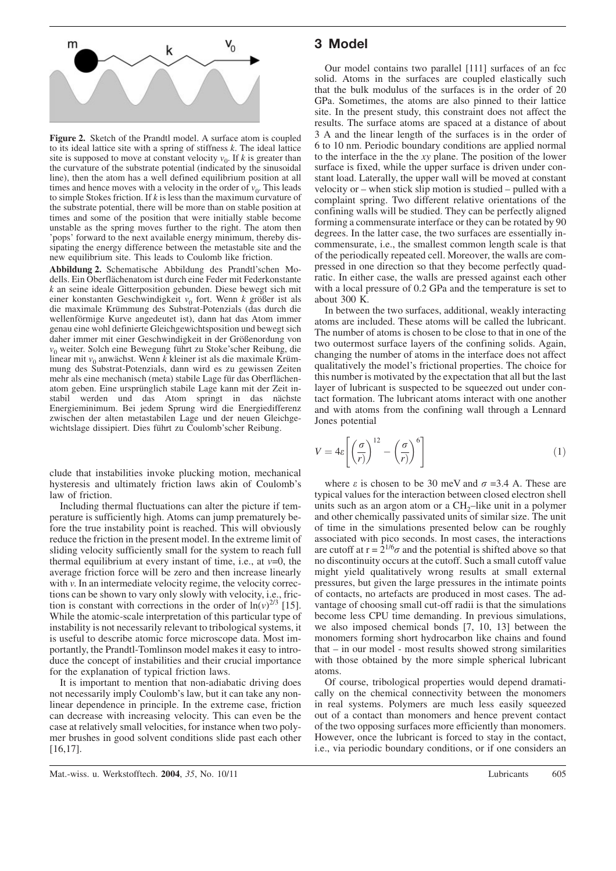

Figure 2. Sketch of the Prandtl model. A surface atom is coupled to its ideal lattice site with a spring of stiffness  $k$ . The ideal lattice site is supposed to move at constant velocity  $v_0$ . If k is greater than the curvature of the substrate potential (indicated by the sinusoidal line), then the atom has a well defined equilibrium position at all times and hence moves with a velocity in the order of  $v_0$ . This leads to simple Stokes friction. If  $k$  is less than the maximum curvature of the substrate potential, there will be more than on stable position at times and some of the position that were initially stable become unstable as the spring moves further to the right. The atom then 'pops' forward to the next available energy minimum, thereby dissipating the energy difference between the metastable site and the new equilibrium site. This leads to Coulomb like friction.

Abbildung 2. Schematische Abbildung des Prandtl'schen Modells. Ein Oberflächenatom ist durch eine Feder mit Federkonstante k an seine ideale Gitterposition gebunden. Diese bewegt sich mit einer konstanten Geschwindigkeit  $v_0$  fort. Wenn k größer ist als die maximale Krümmung des Substrat-Potenzials (das durch die wellenförmige Kurve angedeutet ist), dann hat das Atom immer genau eine wohl definierte Gleichgewichtsposition und bewegt sich daher immer mit einer Geschwindigkeit in der Größenordung von  $v_0$  weiter. Solch eine Bewegung führt zu Stoke'scher Reibung, die linear mit  $v_0$  anwächst. Wenn k kleiner ist als die maximale Krümmung des Substrat-Potenzials, dann wird es zu gewissen Zeiten mehr als eine mechanisch (meta) stabile Lage für das Oberflächenatom geben. Eine ursprünglich stabile Lage kann mit der Zeit instabil werden und das Atom springt in das nächste Energieminimum. Bei jedem Sprung wird die Energiedifferenz zwischen der alten metastabilen Lage und der neuen Gleichgewichtslage dissipiert. Dies führt zu Coulomb'scher Reibung.

clude that instabilities invoke plucking motion, mechanical hysteresis and ultimately friction laws akin of Coulomb's law of friction.

Including thermal fluctuations can alter the picture if temperature is sufficiently high. Atoms can jump prematurely before the true instability point is reached. This will obviously reduce the friction in the present model. In the extreme limit of sliding velocity sufficiently small for the system to reach full thermal equilibrium at every instant of time, i.e., at  $v=0$ , the average friction force will be zero and then increase linearly with *v*. In an intermediate velocity regime, the velocity corrections can be shown to vary only slowly with velocity, i.e., friction is constant with corrections in the order of  $ln(v)^{2/3}$  [15]. While the atomic-scale interpretation of this particular type of instability is not necessarily relevant to tribological systems, it is useful to describe atomic force microscope data. Most importantly, the Prandtl-Tomlinson model makes it easy to introduce the concept of instabilities and their crucial importance for the explanation of typical friction laws.

It is important to mention that non-adiabatic driving does not necessarily imply Coulomb's law, but it can take any nonlinear dependence in principle. In the extreme case, friction can decrease with increasing velocity. This can even be the case at relatively small velocities, for instance when two polymer brushes in good solvent conditions slide past each other [16,17].

#### 3 Model

Our model contains two parallel [111] surfaces of an fcc solid. Atoms in the surfaces are coupled elastically such that the bulk modulus of the surfaces is in the order of 20 GPa. Sometimes, the atoms are also pinned to their lattice site. In the present study, this constraint does not affect the results. The surface atoms are spaced at a distance of about 3 A and the linear length of the surfaces is in the order of 6 to 10 nm. Periodic boundary conditions are applied normal to the interface in the the xy plane. The position of the lower surface is fixed, while the upper surface is driven under constant load. Laterally, the upper wall will be moved at constant velocity or – when stick slip motion is studied – pulled with a complaint spring. Two different relative orientations of the confining walls will be studied. They can be perfectly aligned forming a commensurate interface or they can be rotated by 90 degrees. In the latter case, the two surfaces are essentially incommensurate, i.e., the smallest common length scale is that of the periodically repeated cell. Moreover, the walls are compressed in one direction so that they become perfectly quadratic. In either case, the walls are pressed against each other with a local pressure of 0.2 GPa and the temperature is set to about 300 K.

In between the two surfaces, additional, weakly interacting atoms are included. These atoms will be called the lubricant. The number of atoms is chosen to be close to that in one of the two outermost surface layers of the confining solids. Again, changing the number of atoms in the interface does not affect qualitatively the model's frictional properties. The choice for this number is motivated by the expectation that all but the last layer of lubricant is suspected to be squeezed out under contact formation. The lubricant atoms interact with one another and with atoms from the confining wall through a Lennard Jones potential

$$
V = 4\varepsilon \left[ \left( \frac{\sigma}{r} \right)^{12} - \left( \frac{\sigma}{r} \right)^6 \right] \tag{1}
$$

where  $\varepsilon$  is chosen to be 30 meV and  $\sigma$  =3.4 A. These are typical values for the interaction between closed electron shell units such as an argon atom or a  $CH<sub>2</sub>$ -like unit in a polymer and other chemically passivated units of similar size. The unit of time in the simulations presented below can be roughly associated with pico seconds. In most cases, the interactions are cutoff at  $r = 2^{1/6}\sigma$  and the potential is shifted above so that no discontinuity occurs at the cutoff. Such a small cutoff value might yield qualitatively wrong results at small external pressures, but given the large pressures in the intimate points of contacts, no artefacts are produced in most cases. The advantage of choosing small cut-off radii is that the simulations become less CPU time demanding. In previous simulations, we also imposed chemical bonds [7, 10, 13] between the monomers forming short hydrocarbon like chains and found that – in our model - most results showed strong similarities with those obtained by the more simple spherical lubricant atoms.

Of course, tribological properties would depend dramatically on the chemical connectivity between the monomers in real systems. Polymers are much less easily squeezed out of a contact than monomers and hence prevent contact of the two opposing surfaces more efficiently than monomers. However, once the lubricant is forced to stay in the contact, i.e., via periodic boundary conditions, or if one considers an

Mat.-wiss. u. Werkstofftech. 2004, 35, No. 10/11 Lubricants 605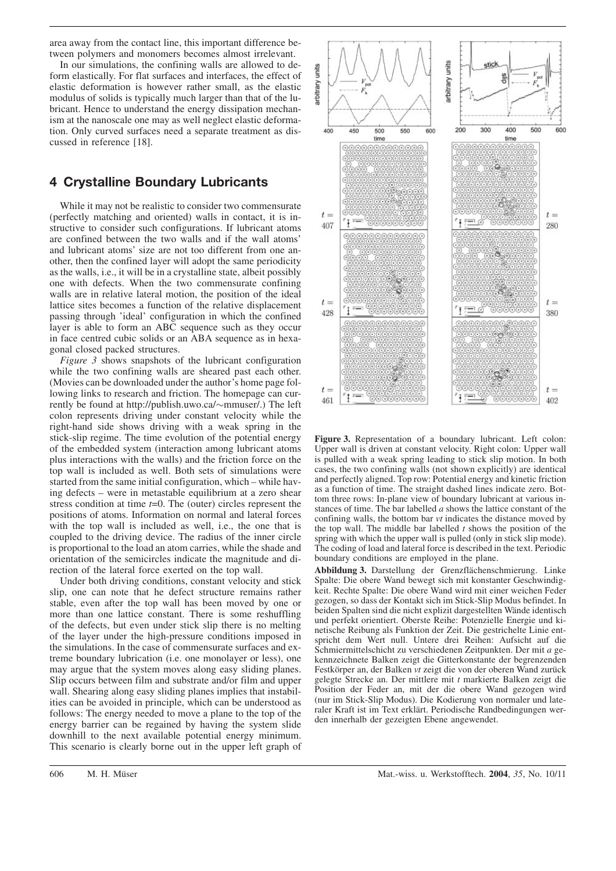area away from the contact line, this important difference between polymers and monomers becomes almost irrelevant.

In our simulations, the confining walls are allowed to deform elastically. For flat surfaces and interfaces, the effect of elastic deformation is however rather small, as the elastic modulus of solids is typically much larger than that of the lubricant. Hence to understand the energy dissipation mechanism at the nanoscale one may as well neglect elastic deformation. Only curved surfaces need a separate treatment as discussed in reference [18].

### 4 Crystalline Boundary Lubricants

While it may not be realistic to consider two commensurate (perfectly matching and oriented) walls in contact, it is instructive to consider such configurations. If lubricant atoms are confined between the two walls and if the wall atoms' and lubricant atoms' size are not too different from one another, then the confined layer will adopt the same periodicity as the walls, i.e., it will be in a crystalline state, albeit possibly one with defects. When the two commensurate confining walls are in relative lateral motion, the position of the ideal lattice sites becomes a function of the relative displacement passing through 'ideal' configuration in which the confined layer is able to form an ABC sequence such as they occur in face centred cubic solids or an ABA sequence as in hexagonal closed packed structures.

Figure 3 shows snapshots of the lubricant configuration while the two confining walls are sheared past each other. (Movies can be downloaded under the author's home page following links to research and friction. The homepage can currently be found at http://publish.uwo.ca/~mmuser/.) The left colon represents driving under constant velocity while the right-hand side shows driving with a weak spring in the stick-slip regime. The time evolution of the potential energy of the embedded system (interaction among lubricant atoms plus interactions with the walls) and the friction force on the top wall is included as well. Both sets of simulations were started from the same initial configuration, which – while having defects – were in metastable equilibrium at a zero shear stress condition at time  $t=0$ . The (outer) circles represent the positions of atoms. Information on normal and lateral forces with the top wall is included as well, i.e., the one that is coupled to the driving device. The radius of the inner circle is proportional to the load an atom carries, while the shade and orientation of the semicircles indicate the magnitude and direction of the lateral force exerted on the top wall.

Under both driving conditions, constant velocity and stick slip, one can note that he defect structure remains rather stable, even after the top wall has been moved by one or more than one lattice constant. There is some reshuffling of the defects, but even under stick slip there is no melting of the layer under the high-pressure conditions imposed in the simulations. In the case of commensurate surfaces and extreme boundary lubrication (i.e. one monolayer or less), one may argue that the system moves along easy sliding planes. Slip occurs between film and substrate and/or film and upper wall. Shearing along easy sliding planes implies that instabilities can be avoided in principle, which can be understood as follows: The energy needed to move a plane to the top of the energy barrier can be regained by having the system slide downhill to the next available potential energy minimum. This scenario is clearly borne out in the upper left graph of



Figure 3. Representation of a boundary lubricant. Left colon: Upper wall is driven at constant velocity. Right colon: Upper wall is pulled with a weak spring leading to stick slip motion. In both cases, the two confining walls (not shown explicitly) are identical and perfectly aligned. Top row: Potential energy and kinetic friction as a function of time. The straight dashed lines indicate zero. Bottom three rows: In-plane view of boundary lubricant at various instances of time. The bar labelled  $\alpha$  shows the lattice constant of the confining walls, the bottom bar  $vt$  indicates the distance moved by the top wall. The middle bar labelled  $t$  shows the position of the spring with which the upper wall is pulled (only in stick slip mode). The coding of load and lateral force is described in the text. Periodic boundary conditions are employed in the plane.

Abbildung 3. Darstellung der Grenzflächenschmierung. Linke Spalte: Die obere Wand bewegt sich mit konstanter Geschwindigkeit. Rechte Spalte: Die obere Wand wird mit einer weichen Feder gezogen, so dass der Kontakt sich im Stick-Slip Modus befindet. In beiden Spalten sind die nicht explizit dargestellten Wände identisch und perfekt orientiert. Oberste Reihe: Potenzielle Energie und kinetische Reibung als Funktion der Zeit. Die gestrichelte Linie entspricht dem Wert null. Untere drei Reihen: Aufsicht auf die Schmiermittelschicht zu verschiedenen Zeitpunkten. Der mit a gekennzeichnete Balken zeigt die Gitterkonstante der begrenzenden Festkörper an, der Balken vt zeigt die von der oberen Wand zurück gelegte Strecke an. Der mittlere mit t markierte Balken zeigt die Position der Feder an, mit der die obere Wand gezogen wird (nur im Stick-Slip Modus). Die Kodierung von normaler und lateraler Kraft ist im Text erklärt. Periodische Randbedingungen werden innerhalb der gezeigten Ebene angewendet.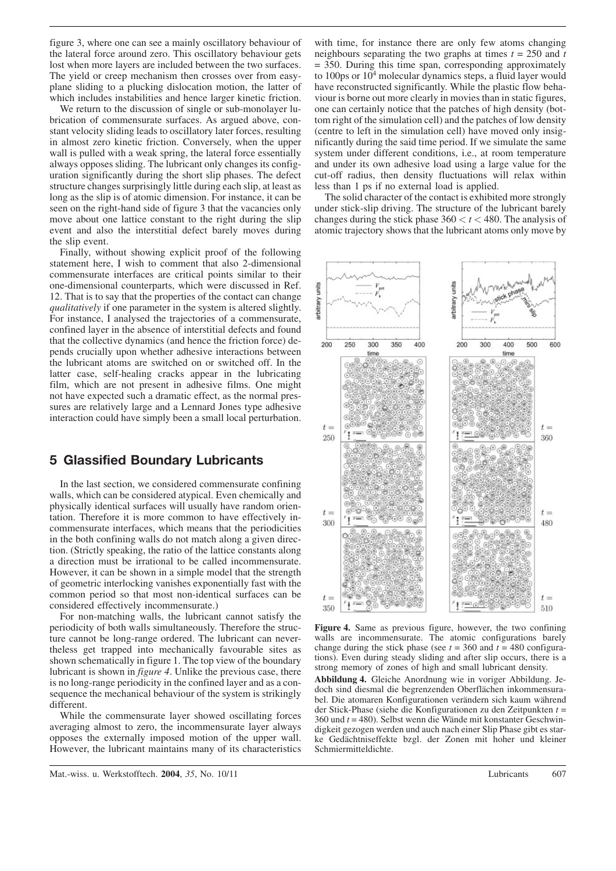figure 3, where one can see a mainly oscillatory behaviour of the lateral force around zero. This oscillatory behaviour gets lost when more layers are included between the two surfaces. The yield or creep mechanism then crosses over from easyplane sliding to a plucking dislocation motion, the latter of which includes instabilities and hence larger kinetic friction.

We return to the discussion of single or sub-monolayer lubrication of commensurate surfaces. As argued above, constant velocity sliding leads to oscillatory later forces, resulting in almost zero kinetic friction. Conversely, when the upper wall is pulled with a weak spring, the lateral force essentially always opposes sliding. The lubricant only changes its configuration significantly during the short slip phases. The defect structure changes surprisingly little during each slip, at least as long as the slip is of atomic dimension. For instance, it can be seen on the right-hand side of figure 3 that the vacancies only move about one lattice constant to the right during the slip event and also the interstitial defect barely moves during the slip event.

Finally, without showing explicit proof of the following statement here, I wish to comment that also 2-dimensional commensurate interfaces are critical points similar to their one-dimensional counterparts, which were discussed in Ref. 12. That is to say that the properties of the contact can change qualitatively if one parameter in the system is altered slightly. For instance, I analysed the trajectories of a commensurate, confined layer in the absence of interstitial defects and found that the collective dynamics (and hence the friction force) depends crucially upon whether adhesive interactions between the lubricant atoms are switched on or switched off. In the latter case, self-healing cracks appear in the lubricating film, which are not present in adhesive films. One might not have expected such a dramatic effect, as the normal pressures are relatively large and a Lennard Jones type adhesive interaction could have simply been a small local perturbation.

#### 5 Glassified Boundary Lubricants

In the last section, we considered commensurate confining walls, which can be considered atypical. Even chemically and physically identical surfaces will usually have random orientation. Therefore it is more common to have effectively incommensurate interfaces, which means that the periodicities in the both confining walls do not match along a given direction. (Strictly speaking, the ratio of the lattice constants along a direction must be irrational to be called incommensurate. However, it can be shown in a simple model that the strength of geometric interlocking vanishes exponentially fast with the common period so that most non-identical surfaces can be considered effectively incommensurate.)

For non-matching walls, the lubricant cannot satisfy the periodicity of both walls simultaneously. Therefore the structure cannot be long-range ordered. The lubricant can nevertheless get trapped into mechanically favourable sites as shown schematically in figure 1. The top view of the boundary lubricant is shown in figure 4. Unlike the previous case, there is no long-range periodicity in the confined layer and as a consequence the mechanical behaviour of the system is strikingly different.

While the commensurate layer showed oscillating forces averaging almost to zero, the incommensurate layer always opposes the externally imposed motion of the upper wall. However, the lubricant maintains many of its characteristics with time, for instance there are only few atoms changing neighbours separating the two graphs at times  $t = 250$  and t = 350. During this time span, corresponding approximately to 100ps or  $10<sup>4</sup>$  molecular dynamics steps, a fluid layer would have reconstructed significantly. While the plastic flow behaviour is borne out more clearly in movies than in static figures, one can certainly notice that the patches of high density (bottom right of the simulation cell) and the patches of low density (centre to left in the simulation cell) have moved only insignificantly during the said time period. If we simulate the same system under different conditions, i.e., at room temperature and under its own adhesive load using a large value for the cut-off radius, then density fluctuations will relax within less than 1 ps if no external load is applied.

The solid character of the contact is exhibited more strongly under stick-slip driving. The structure of the lubricant barely changes during the stick phase  $360 < t < 480$ . The analysis of atomic trajectory shows that the lubricant atoms only move by



Figure 4. Same as previous figure, however, the two confining walls are incommensurate. The atomic configurations barely change during the stick phase (see  $t = 360$  and  $t = 480$  configurations). Even during steady sliding and after slip occurs, there is a strong memory of zones of high and small lubricant density.

Abbildung 4. Gleiche Anordnung wie in voriger Abbildung. Jedoch sind diesmal die begrenzenden Oberflächen inkommensurabel. Die atomaren Konfigurationen verändern sich kaum während der Stick-Phase (siehe die Konfigurationen zu den Zeitpunkten  $t =$ 360 und  $t = 480$ ). Selbst wenn die Wände mit konstanter Geschwindigkeit gezogen werden und auch nach einer Slip Phase gibt es starke Gedächtniseffekte bzgl. der Zonen mit hoher und kleiner Schmiermitteldichte.

Mat.-wiss. u. Werkstofftech. 2004, 35, No. 10/11 Lubricants 607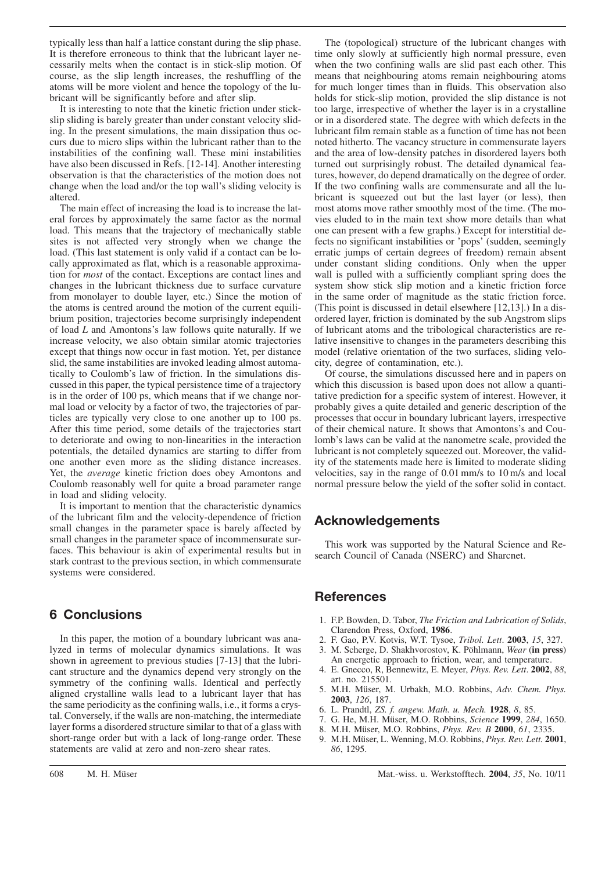typically less than half a lattice constant during the slip phase. It is therefore erroneous to think that the lubricant layer necessarily melts when the contact is in stick-slip motion. Of course, as the slip length increases, the reshuffling of the atoms will be more violent and hence the topology of the lubricant will be significantly before and after slip.

It is interesting to note that the kinetic friction under stickslip sliding is barely greater than under constant velocity sliding. In the present simulations, the main dissipation thus occurs due to micro slips within the lubricant rather than to the instabilities of the confining wall. These mini instabilities have also been discussed in Refs. [12-14]. Another interesting observation is that the characteristics of the motion does not change when the load and/or the top wall's sliding velocity is altered.

The main effect of increasing the load is to increase the lateral forces by approximately the same factor as the normal load. This means that the trajectory of mechanically stable sites is not affected very strongly when we change the load. (This last statement is only valid if a contact can be locally approximated as flat, which is a reasonable approximation for most of the contact. Exceptions are contact lines and changes in the lubricant thickness due to surface curvature from monolayer to double layer, etc.) Since the motion of the atoms is centred around the motion of the current equilibrium position, trajectories become surprisingly independent of load L and Amontons's law follows quite naturally. If we increase velocity, we also obtain similar atomic trajectories except that things now occur in fast motion. Yet, per distance slid, the same instabilities are invoked leading almost automatically to Coulomb's law of friction. In the simulations discussed in this paper, the typical persistence time of a trajectory is in the order of 100 ps, which means that if we change normal load or velocity by a factor of two, the trajectories of particles are typically very close to one another up to 100 ps. After this time period, some details of the trajectories start to deteriorate and owing to non-linearities in the interaction potentials, the detailed dynamics are starting to differ from one another even more as the sliding distance increases. Yet, the average kinetic friction does obey Amontons and Coulomb reasonably well for quite a broad parameter range in load and sliding velocity.

It is important to mention that the characteristic dynamics of the lubricant film and the velocity-dependence of friction small changes in the parameter space is barely affected by small changes in the parameter space of incommensurate surfaces. This behaviour is akin of experimental results but in stark contrast to the previous section, in which commensurate systems were considered.

# 6 Conclusions

In this paper, the motion of a boundary lubricant was analyzed in terms of molecular dynamics simulations. It was shown in agreement to previous studies [7-13] that the lubricant structure and the dynamics depend very strongly on the symmetry of the confining walls. Identical and perfectly aligned crystalline walls lead to a lubricant layer that has the same periodicity as the confining walls, i.e., it forms a crystal. Conversely, if the walls are non-matching, the intermediate layer forms a disordered structure similar to that of a glass with short-range order but with a lack of long-range order. These statements are valid at zero and non-zero shear rates.

The (topological) structure of the lubricant changes with time only slowly at sufficiently high normal pressure, even when the two confining walls are slid past each other. This means that neighbouring atoms remain neighbouring atoms for much longer times than in fluids. This observation also holds for stick-slip motion, provided the slip distance is not too large, irrespective of whether the layer is in a crystalline or in a disordered state. The degree with which defects in the lubricant film remain stable as a function of time has not been noted hitherto. The vacancy structure in commensurate layers and the area of low-density patches in disordered layers both turned out surprisingly robust. The detailed dynamical features, however, do depend dramatically on the degree of order. If the two confining walls are commensurate and all the lubricant is squeezed out but the last layer (or less), then most atoms move rather smoothly most of the time. (The movies eluded to in the main text show more details than what one can present with a few graphs.) Except for interstitial defects no significant instabilities or 'pops' (sudden, seemingly erratic jumps of certain degrees of freedom) remain absent under constant sliding conditions. Only when the upper wall is pulled with a sufficiently compliant spring does the system show stick slip motion and a kinetic friction force in the same order of magnitude as the static friction force. (This point is discussed in detail elsewhere [12,13].) In a disordered layer, friction is dominated by the sub Angstrom slips of lubricant atoms and the tribological characteristics are relative insensitive to changes in the parameters describing this model (relative orientation of the two surfaces, sliding velocity, degree of contamination, etc.).

Of course, the simulations discussed here and in papers on which this discussion is based upon does not allow a quantitative prediction for a specific system of interest. However, it probably gives a quite detailed and generic description of the processes that occur in boundary lubricant layers, irrespective of their chemical nature. It shows that Amontons's and Coulomb's laws can be valid at the nanometre scale, provided the lubricant is not completely squeezed out. Moreover, the validity of the statements made here is limited to moderate sliding velocities, say in the range of 0.01 mm/s to 10 m/s and local normal pressure below the yield of the softer solid in contact.

# Acknowledgements

This work was supported by the Natural Science and Research Council of Canada (NSERC) and Sharcnet.

#### **References**

- 1. F.P. Bowden, D. Tabor, The Friction and Lubrication of Solids, Clarendon Press, Oxford, 1986.
- 2. F. Gao, P.V. Kotvis, W.T. Tysoe, Tribol. Lett. 2003, 15, 327.
- 3. M. Scherge, D. Shakhvorostov, K. Pöhlmann, Wear (in press) An energetic approach to friction, wear, and temperature.
- 4. E. Gnecco, R, Bennewitz, E. Meyer, Phys. Rev. Lett. 2002, 88, art. no. 215501.
- 5. M.H. Müser, M. Urbakh, M.O. Robbins, Adv. Chem. Phys. 2003, 126, 187.
- 6. L. Prandtl, ZS. f. angew. Math. u. Mech. 1928, 8, 85.
- G. He, M.H. Müser, M.O. Robbins, Science 1999, 284, 1650.
- 8. M.H. Müser, M.O. Robbins, *Phys. Rev. B* 2000, 61, 2335.
- 9. M.H. Müser, L. Wenning, M.O. Robbins, Phys. Rev. Lett. 2001, 86, 1295.